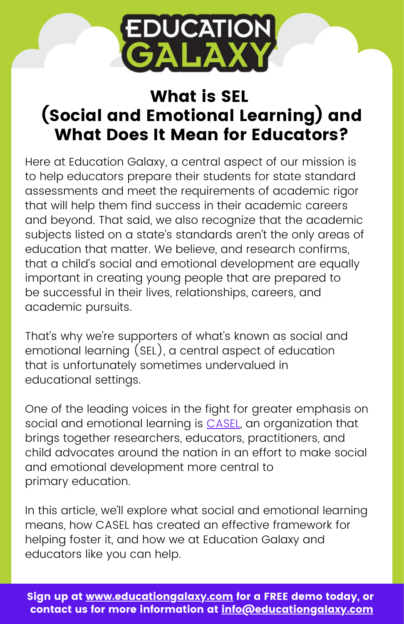

# What is SEL (Social and Emotional Learning) and What Does It Mean for Educators?

Here at Education Galaxy, a central aspect of our mission is to help educators prepare their students for state standard assessments and meet the requirements of academic rigor that will help them find success in their academic careers and beyond. That said, we also recognize that the academic subjects listed on a state's standards aren't the only areas of education that matter. We believe, and research confirms, that a child's social and emotional development are equally important in creating young people that are prepared to be successful in their lives, relationships, careers, and academic pursuits.

That's why we're supporters of what's known as social and emotional learning (SEL), a central aspect of education that is unfortunately sometimes undervalued in educational settings.

One of the leading voices in the fight for greater emphasis on social and emotional learning is [CASEL](https://casel.org/), an organization that brings together researchers, educators, practitioners, and child advocates around the nation in an effort to make social and emotional development more central to primary education.

In this article, we'll explore what social and emotional learning means, how CASEL has created an effective framework for helping foster it, and how we at Education Galaxy and educators like you can help.

Sign up at [www.ed](https://www.usatestprep.com/demo/)ucationgalaxy.com for a FREE demo today, or contact us for more information at info@educationgalaxy.com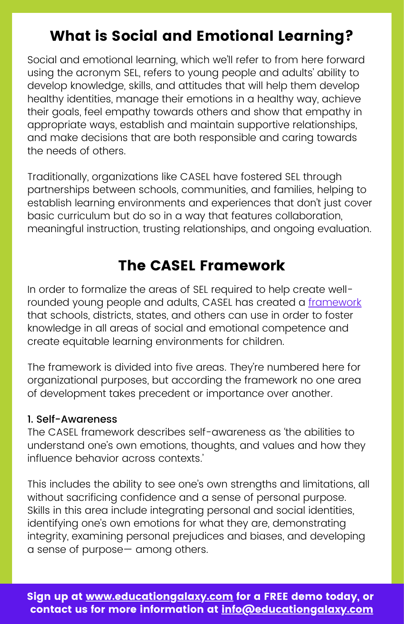## What is Social and Emotional Learning?

Social and emotional learning, which we'll refer to from here forward using the acronym SEL, refers to young people and adults' ability to develop knowledge, skills, and attitudes that will help them develop healthy identities, manage their emotions in a healthy way, achieve their goals, feel empathy towards others and show that empathy in appropriate ways, establish and maintain supportive relationships, and make decisions that are both responsible and caring towards the needs of others.

Traditionally, organizations like CASEL have fostered SEL through partnerships between schools, communities, and families, helping to establish learning environments and experiences that don't just cover basic curriculum but do so in a way that features collaboration, meaningful instruction, trusting relationships, and ongoing evaluation.

### The CASEL Framework

In order to formalize the areas of SEL required to help create wellrounded young people and adults, CASEL has created a [framework](https://casel.org/fundamentals-of-sel/what-is-the-casel-framework/#self-awareness) that schools, districts, states, and others can use in order to foster knowledge in all areas of social and emotional competence and create equitable learning environments for children.

The framework is divided into five areas. They're numbered here for organizational purposes, but according the framework no one area of development takes precedent or importance over another.

#### 1. Self-Awareness

The CASEL framework describes self-awareness as 'the abilities to understand one's own emotions, thoughts, and values and how they influence behavior across contexts.'

This includes the ability to see one's own strengths and limitations, all without sacrificing confidence and a sense of personal purpose. Skills in this area include integrating personal and social identities, identifying one's own emotions for what they are, demonstrating integrity, examining personal prejudices and biases, and developing a sense of purpose— among others.

Sign up at [www.ed](https://www.usatestprep.com/demo/)ucationgalaxy.com for a FREE demo today, or contact us for more information at info@educationgalaxy.com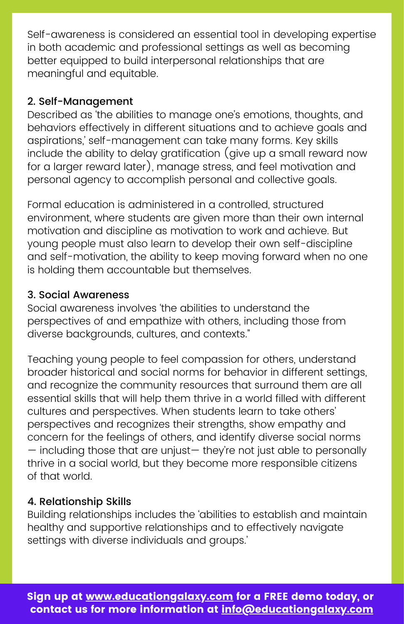Self-awareness is considered an essential tool in developing expertise in both academic and professional settings as well as becoming better equipped to build interpersonal relationships that are meaningful and equitable.

#### 2. Self-Management

Described as 'the abilities to manage one's emotions, thoughts, and behaviors effectively in different situations and to achieve goals and aspirations,' self-management can take many forms. Key skills include the ability to delay gratification (give up a small reward now for a larger reward later), manage stress, and feel motivation and personal agency to accomplish personal and collective goals.

Formal education is administered in a controlled, structured environment, where students are given more than their own internal motivation and discipline as motivation to work and achieve. But young people must also learn to develop their own self-discipline and self-motivation, the ability to keep moving forward when no one is holding them accountable but themselves.

#### 3. Social Awareness

Social awareness involves 'the abilities to understand the perspectives of and empathize with others, including those from diverse backgrounds, cultures, and contexts."

Teaching young people to feel compassion for others, understand broader historical and social norms for behavior in different settings, and recognize the community resources that surround them are all essential skills that will help them thrive in a world filled with different cultures and perspectives. When students learn to take others' perspectives and recognizes their strengths, show empathy and concern for the feelings of others, and identify diverse social norms — including those that are unjust— they're not just able to personally thrive in a social world, but they become more responsible citizens of that world.

#### 4. Relationship Skills

Building relationships includes the 'abilities to establish and maintain healthy and supportive relationships and to effectively navigate settings with diverse individuals and groups.'